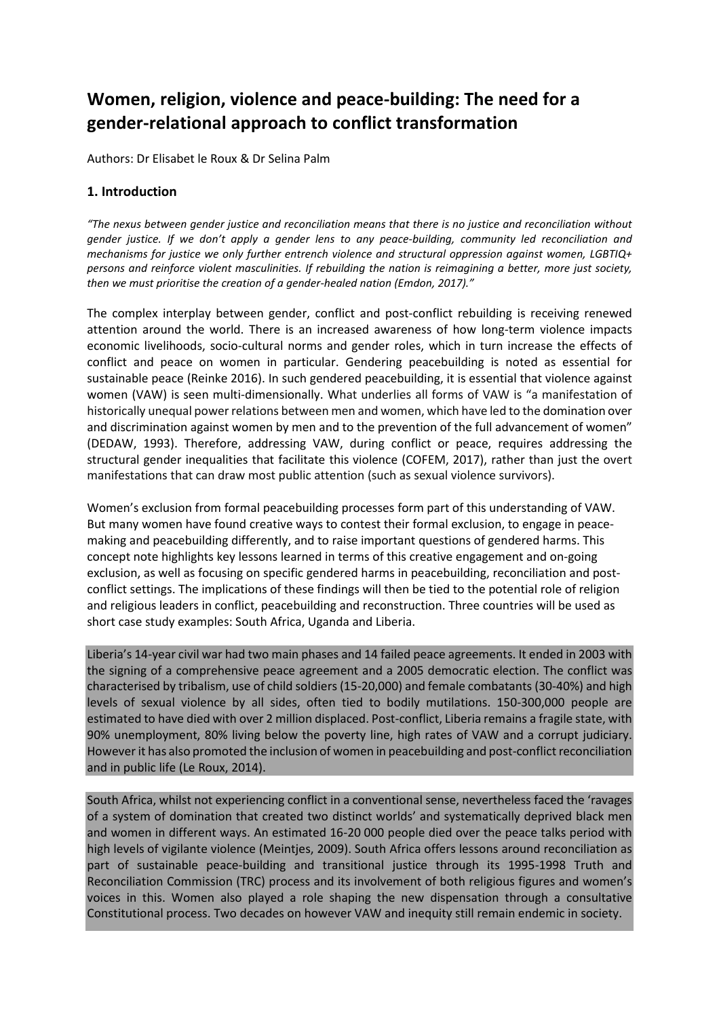# **Women, religion, violence and peace-building: The need for a gender-relational approach to conflict transformation**

Authors: Dr Elisabet le Roux & Dr Selina Palm

## **1. Introduction**

"The nexus between gender justice and reconciliation means that there is no justice and reconciliation without gender justice. If we don't apply a gender lens to any peace-building, community led reconciliation and *mechanisms for justice we only further entrench violence and structural oppression against women, LGBTIQ+* persons and reinforce violent masculinities. If rebuilding the nation is reimagining a better, more just society, *then we must prioritise the creation of a gender-healed nation (Emdon, 2017)."*

The complex interplay between gender, conflict and post-conflict rebuilding is receiving renewed attention around the world. There is an increased awareness of how long-term violence impacts economic livelihoods, socio-cultural norms and gender roles, which in turn increase the effects of conflict and peace on women in particular. Gendering peacebuilding is noted as essential for sustainable peace (Reinke 2016). In such gendered peacebuilding, it is essential that violence against women (VAW) is seen multi-dimensionally. What underlies all forms of VAW is "a manifestation of historically unequal power relations between men and women, which have led to the domination over and discrimination against women by men and to the prevention of the full advancement of women" (DEDAW, 1993). Therefore, addressing VAW, during conflict or peace, requires addressing the structural gender inequalities that facilitate this violence (COFEM, 2017), rather than just the overt manifestations that can draw most public attention (such as sexual violence survivors).

Women's exclusion from formal peacebuilding processes form part of this understanding of VAW. But many women have found creative ways to contest their formal exclusion, to engage in peacemaking and peacebuilding differently, and to raise important questions of gendered harms. This concept note highlights key lessons learned in terms of this creative engagement and on-going exclusion, as well as focusing on specific gendered harms in peacebuilding, reconciliation and postconflict settings. The implications of these findings will then be tied to the potential role of religion and religious leaders in conflict, peacebuilding and reconstruction. Three countries will be used as short case study examples: South Africa, Uganda and Liberia.

Liberia's 14-year civil war had two main phases and 14 failed peace agreements. It ended in 2003 with the signing of a comprehensive peace agreement and a 2005 democratic election. The conflict was characterised by tribalism, use of child soldiers (15-20,000) and female combatants (30-40%) and high levels of sexual violence by all sides, often tied to bodily mutilations. 150-300,000 people are estimated to have died with over 2 million displaced. Post-conflict, Liberia remains a fragile state, with 90% unemployment, 80% living below the poverty line, high rates of VAW and a corrupt judiciary. Howeverit has also promoted the inclusion of women in peacebuilding and post-conflict reconciliation and in public life (Le Roux, 2014).

South Africa, whilst not experiencing conflict in a conventional sense, nevertheless faced the 'ravages of a system of domination that created two distinct worlds' and systematically deprived black men and women in different ways. An estimated 16-20 000 people died over the peace talks period with high levels of vigilante violence (Meintjes, 2009). South Africa offers lessons around reconciliation as part of sustainable peace-building and transitional justice through its 1995-1998 Truth and Reconciliation Commission (TRC) process and its involvement of both religious figures and women's voices in this. Women also played a role shaping the new dispensation through a consultative Constitutional process. Two decades on however VAW and inequity still remain endemic in society.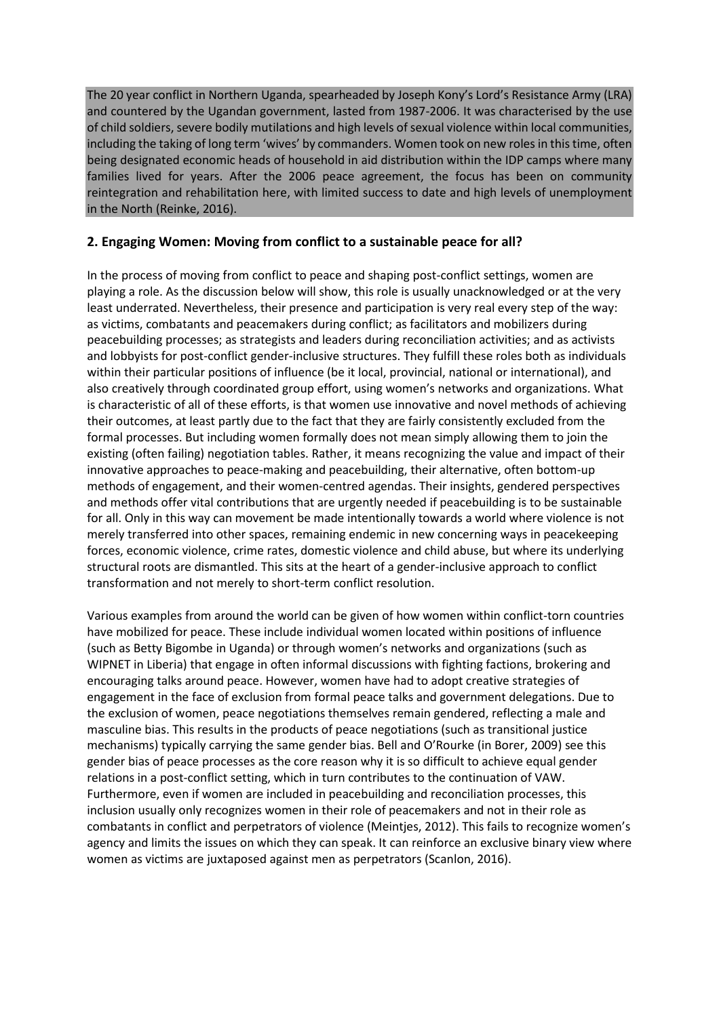The 20 year conflict in Northern Uganda, spearheaded by Joseph Kony's Lord's Resistance Army (LRA) and countered by the Ugandan government, lasted from 1987-2006. It was characterised by the use of child soldiers, severe bodily mutilations and high levels of sexual violence within local communities, including the taking of long term 'wives' by commanders. Women took on new rolesin thistime, often being designated economic heads of household in aid distribution within the IDP camps where many families lived for years. After the 2006 peace agreement, the focus has been on community reintegration and rehabilitation here, with limited success to date and high levels of unemployment in the North (Reinke, 2016).

## **2. Engaging Women: Moving from conflict to a sustainable peace for all?**

In the process of moving from conflict to peace and shaping post-conflict settings, women are playing a role. As the discussion below will show, this role is usually unacknowledged or at the very least underrated. Nevertheless, their presence and participation is very real every step of the way: as victims, combatants and peacemakers during conflict; as facilitators and mobilizers during peacebuilding processes; as strategists and leaders during reconciliation activities; and as activists and lobbyists for post-conflict gender-inclusive structures. They fulfill these roles both as individuals within their particular positions of influence (be it local, provincial, national or international), and also creatively through coordinated group effort, using women's networks and organizations. What is characteristic of all of these efforts, is that women use innovative and novel methods of achieving their outcomes, at least partly due to the fact that they are fairly consistently excluded from the formal processes. But including women formally does not mean simply allowing them to join the existing (often failing) negotiation tables. Rather, it means recognizing the value and impact of their innovative approaches to peace-making and peacebuilding, their alternative, often bottom-up methods of engagement, and their women-centred agendas. Their insights, gendered perspectives and methods offer vital contributions that are urgently needed if peacebuilding is to be sustainable for all. Only in this way can movement be made intentionally towards a world where violence is not merely transferred into other spaces, remaining endemic in new concerning ways in peacekeeping forces, economic violence, crime rates, domestic violence and child abuse, but where its underlying structural roots are dismantled. This sits at the heart of a gender-inclusive approach to conflict transformation and not merely to short-term conflict resolution.

Various examples from around the world can be given of how women within conflict-torn countries have mobilized for peace. These include individual women located within positions of influence (such as Betty Bigombe in Uganda) or through women's networks and organizations (such as WIPNET in Liberia) that engage in often informal discussions with fighting factions, brokering and encouraging talks around peace. However, women have had to adopt creative strategies of engagement in the face of exclusion from formal peace talks and government delegations. Due to the exclusion of women, peace negotiations themselves remain gendered, reflecting a male and masculine bias. This results in the products of peace negotiations (such as transitional justice mechanisms) typically carrying the same gender bias. Bell and O'Rourke (in Borer, 2009) see this gender bias of peace processes as the core reason why it is so difficult to achieve equal gender relations in a post-conflict setting, which in turn contributes to the continuation of VAW. Furthermore, even if women are included in peacebuilding and reconciliation processes, this inclusion usually only recognizes women in their role of peacemakers and not in their role as combatants in conflict and perpetrators of violence (Meintjes, 2012). This fails to recognize women's agency and limits the issues on which they can speak. It can reinforce an exclusive binary view where women as victims are juxtaposed against men as perpetrators (Scanlon, 2016).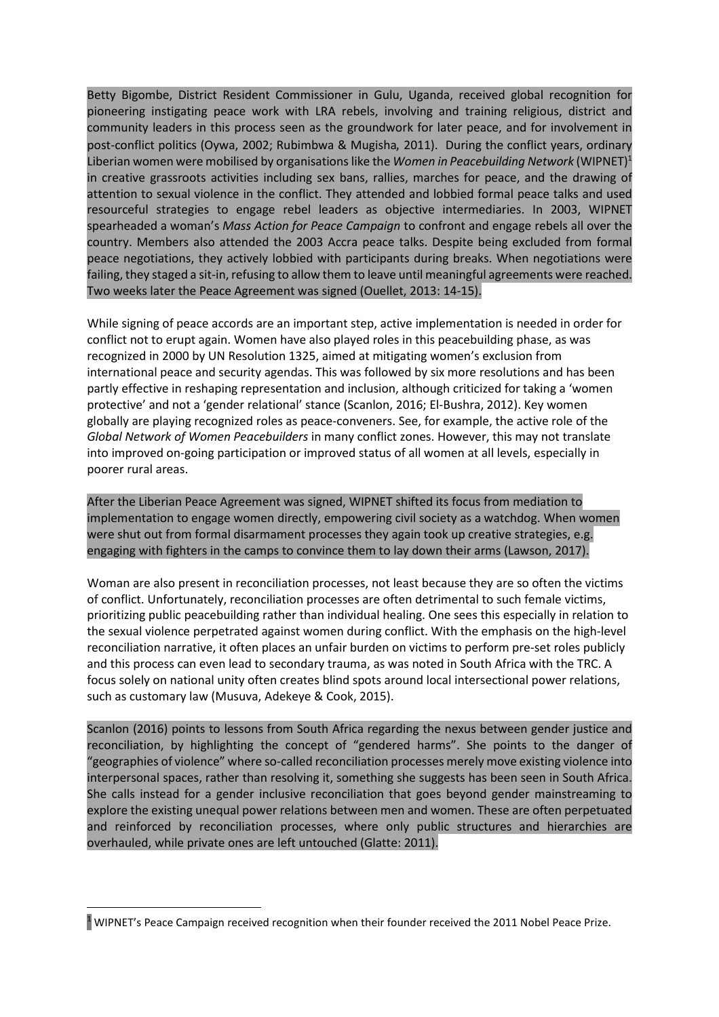Betty Bigombe, District Resident Commissioner in Gulu, Uganda, received global recognition for pioneering instigating peace work with LRA rebels, involving and training religious, district and community leaders in this process seen as the groundwork for later peace, and for involvement in post-conflict politics (Oywa, 2002; Rubimbwa & Mugisha, 2011). During the conflict years, ordinary Liberian women were mobilised by organisations like the *Women in Peacebuilding Network* (WIPNET)<sup>1</sup> in creative grassroots activities including sex bans, rallies, marches for peace, and the drawing of attention to sexual violence in the conflict. They attended and lobbied formal peace talks and used resourceful strategies to engage rebel leaders as objective intermediaries. In 2003, WIPNET spearheaded a woman's *Mass Action for Peace Campaign* to confront and engage rebels all over the country. Members also attended the 2003 Accra peace talks. Despite being excluded from formal peace negotiations, they actively lobbied with participants during breaks. When negotiations were failing, they staged a sit-in, refusing to allow them to leave until meaningful agreements were reached. Two weeks later the Peace Agreement was signed (Ouellet, 2013: 14-15).

While signing of peace accords are an important step, active implementation is needed in order for conflict not to erupt again. Women have also played roles in this peacebuilding phase, as was recognized in 2000 by UN Resolution 1325, aimed at mitigating women's exclusion from international peace and security agendas. This was followed by six more resolutions and has been partly effective in reshaping representation and inclusion, although criticized for taking a 'women protective' and not a 'gender relational' stance (Scanlon, 2016; El-Bushra, 2012). Key women globally are playing recognized roles as peace-conveners. See, for example, the active role of the *Global Network of Women Peacebuilders* in many conflict zones. However, this may not translate into improved on-going participation or improved status of all women at all levels, especially in poorer rural areas.

After the Liberian Peace Agreement was signed, WIPNET shifted its focus from mediation to implementation to engage women directly, empowering civil society as a watchdog. When women were shut out from formal disarmament processes they again took up creative strategies, e.g. engaging with fighters in the camps to convince them to lay down their arms (Lawson, 2017).

Woman are also present in reconciliation processes, not least because they are so often the victims of conflict. Unfortunately, reconciliation processes are often detrimental to such female victims, prioritizing public peacebuilding rather than individual healing. One sees this especially in relation to the sexual violence perpetrated against women during conflict. With the emphasis on the high-level reconciliation narrative, it often places an unfair burden on victims to perform pre-set roles publicly and this process can even lead to secondary trauma, as was noted in South Africa with the TRC. A focus solely on national unity often creates blind spots around local intersectional power relations, such as customary law (Musuva, Adekeye & Cook, 2015).

Scanlon (2016) points to lessons from South Africa regarding the nexus between gender justice and reconciliation, by highlighting the concept of "gendered harms". She points to the danger of "geographies of violence" where so-called reconciliation processes merely move existing violence into interpersonal spaces, rather than resolving it, something she suggests has been seen in South Africa. She calls instead for a gender inclusive reconciliation that goes beyond gender mainstreaming to explore the existing unequal power relations between men and women. These are often perpetuated and reinforced by reconciliation processes, where only public structures and hierarchies are overhauled, while private ones are left untouched (Glatte: 2011).

<sup>1</sup> WIPNET's Peace Campaign received recognition when their founder received the 2011 Nobel Peace Prize.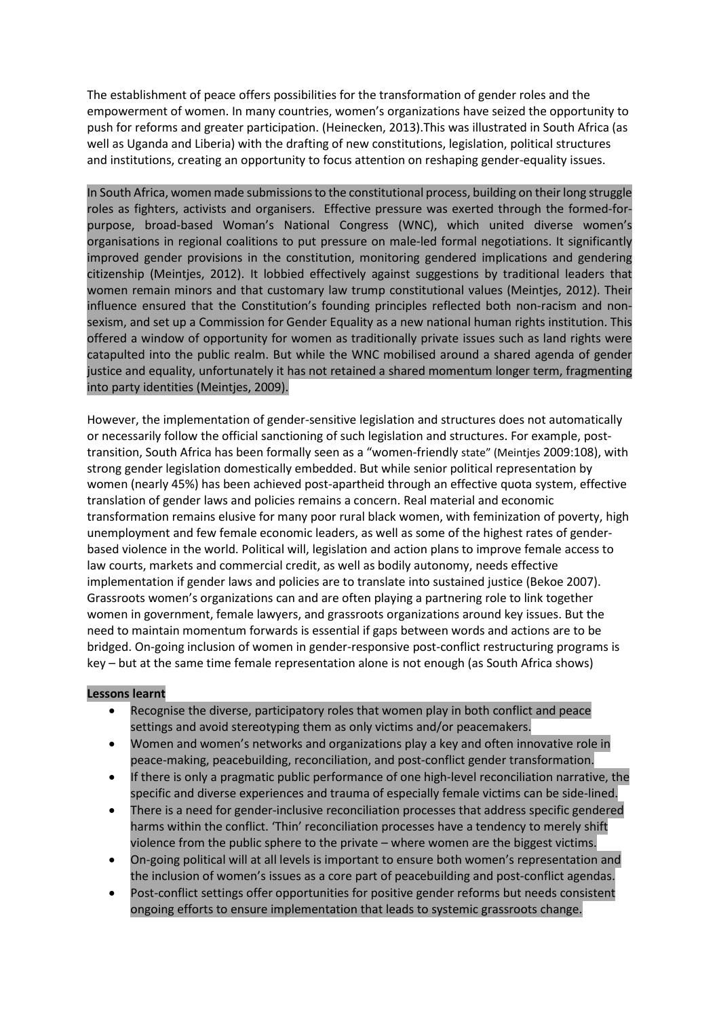The establishment of peace offers possibilities for the transformation of gender roles and the empowerment of women. In many countries, women's organizations have seized the opportunity to push for reforms and greater participation. (Heinecken, 2013).This was illustrated in South Africa (as well as Uganda and Liberia) with the drafting of new constitutions, legislation, political structures and institutions, creating an opportunity to focus attention on reshaping gender-equality issues.

In South Africa, women made submissions to the constitutional process, building on their long struggle roles as fighters, activists and organisers. Effective pressure was exerted through the formed-forpurpose, broad-based Woman's National Congress (WNC), which united diverse women's organisations in regional coalitions to put pressure on male-led formal negotiations. It significantly improved gender provisions in the constitution, monitoring gendered implications and gendering citizenship (Meintjes, 2012). It lobbied effectively against suggestions by traditional leaders that women remain minors and that customary law trump constitutional values (Meintjes, 2012). Their influence ensured that the Constitution's founding principles reflected both non-racism and nonsexism, and set up a Commission for Gender Equality as a new national human rights institution. This offered a window of opportunity for women as traditionally private issues such as land rights were catapulted into the public realm. But while the WNC mobilised around a shared agenda of gender justice and equality, unfortunately it has not retained a shared momentum longer term, fragmenting into party identities (Meintjes, 2009).

However, the implementation of gender-sensitive legislation and structures does not automatically or necessarily follow the official sanctioning of such legislation and structures. For example, posttransition, South Africa has been formally seen as a "women-friendly state" (Meintjes 2009:108), with strong gender legislation domestically embedded. But while senior political representation by women (nearly 45%) has been achieved post-apartheid through an effective quota system, effective translation of gender laws and policies remains a concern. Real material and economic transformation remains elusive for many poor rural black women, with feminization of poverty, high unemployment and few female economic leaders, as well as some of the highest rates of genderbased violence in the world. Political will, legislation and action plans to improve female access to law courts, markets and commercial credit, as well as bodily autonomy, needs effective implementation if gender laws and policies are to translate into sustained justice (Bekoe 2007). Grassroots women's organizations can and are often playing a partnering role to link together women in government, female lawyers, and grassroots organizations around key issues. But the need to maintain momentum forwards is essential if gaps between words and actions are to be bridged. On-going inclusion of women in gender-responsive post-conflict restructuring programs is key – but at the same time female representation alone is not enough (as South Africa shows)

#### **Lessons learnt**

- Recognise the diverse, participatory roles that women play in both conflict and peace settings and avoid stereotyping them as only victims and/or peacemakers.
- Women and women's networks and organizations play a key and often innovative role in peace-making, peacebuilding, reconciliation, and post-conflict gender transformation.
- If there is only a pragmatic public performance of one high-level reconciliation narrative, the specific and diverse experiences and trauma of especially female victims can be side-lined.
- There is a need for gender-inclusive reconciliation processes that address specific gendered harms within the conflict. 'Thin' reconciliation processes have a tendency to merely shift violence from the public sphere to the private – where women are the biggest victims.
- On-going political will at all levels is important to ensure both women's representation and the inclusion of women's issues as a core part of peacebuilding and post-conflict agendas.
- Post-conflict settings offer opportunities for positive gender reforms but needs consistent ongoing efforts to ensure implementation that leads to systemic grassroots change.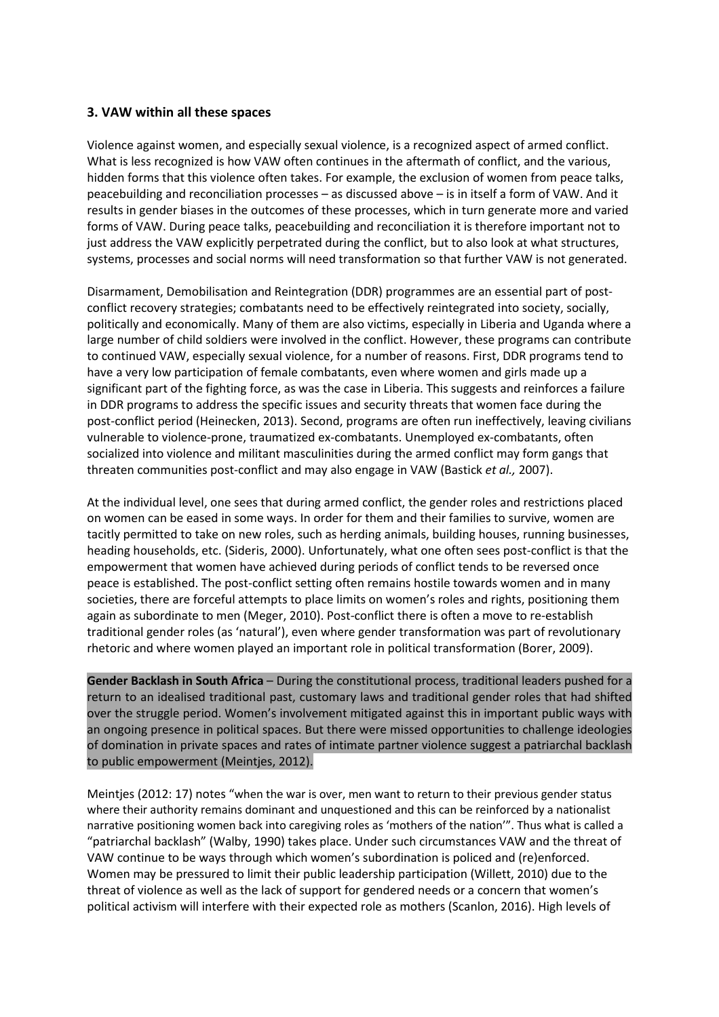#### **3. VAW within all these spaces**

Violence against women, and especially sexual violence, is a recognized aspect of armed conflict. What is less recognized is how VAW often continues in the aftermath of conflict, and the various, hidden forms that this violence often takes. For example, the exclusion of women from peace talks, peacebuilding and reconciliation processes – as discussed above – is in itself a form of VAW. And it results in gender biases in the outcomes of these processes, which in turn generate more and varied forms of VAW. During peace talks, peacebuilding and reconciliation it is therefore important not to just address the VAW explicitly perpetrated during the conflict, but to also look at what structures, systems, processes and social norms will need transformation so that further VAW is not generated.

Disarmament, Demobilisation and Reintegration (DDR) programmes are an essential part of postconflict recovery strategies; combatants need to be effectively reintegrated into society, socially, politically and economically. Many of them are also victims, especially in Liberia and Uganda where a large number of child soldiers were involved in the conflict. However, these programs can contribute to continued VAW, especially sexual violence, for a number of reasons. First, DDR programs tend to have a very low participation of female combatants, even where women and girls made up a significant part of the fighting force, as was the case in Liberia. This suggests and reinforces a failure in DDR programs to address the specific issues and security threats that women face during the post-conflict period (Heinecken, 2013). Second, programs are often run ineffectively, leaving civilians vulnerable to violence-prone, traumatized ex-combatants. Unemployed ex-combatants, often socialized into violence and militant masculinities during the armed conflict may form gangs that threaten communities post-conflict and may also engage in VAW (Bastick *et al.,* 2007).

At the individual level, one sees that during armed conflict, the gender roles and restrictions placed on women can be eased in some ways. In order for them and their families to survive, women are tacitly permitted to take on new roles, such as herding animals, building houses, running businesses, heading households, etc. (Sideris, 2000). Unfortunately, what one often sees post-conflict is that the empowerment that women have achieved during periods of conflict tends to be reversed once peace is established. The post-conflict setting often remains hostile towards women and in many societies, there are forceful attempts to place limits on women's roles and rights, positioning them again as subordinate to men (Meger, 2010). Post-conflict there is often a move to re-establish traditional gender roles (as 'natural'), even where gender transformation was part of revolutionary rhetoric and where women played an important role in political transformation (Borer, 2009).

**Gender Backlash in South Africa** – During the constitutional process, traditional leaders pushed for a return to an idealised traditional past, customary laws and traditional gender roles that had shifted over the struggle period. Women's involvement mitigated against this in important public ways with an ongoing presence in political spaces. But there were missed opportunities to challenge ideologies of domination in private spaces and rates of intimate partner violence suggest a patriarchal backlash to public empowerment (Meintjes, 2012).

Meintjes (2012: 17) notes "when the war is over, men want to return to their previous gender status where their authority remains dominant and unquestioned and this can be reinforced by a nationalist narrative positioning women back into caregiving roles as 'mothers of the nation'". Thus what is called a "patriarchal backlash" (Walby, 1990) takes place. Under such circumstances VAW and the threat of VAW continue to be ways through which women's subordination is policed and (re)enforced. Women may be pressured to limit their public leadership participation (Willett, 2010) due to the threat of violence as well as the lack of support for gendered needs or a concern that women's political activism will interfere with their expected role as mothers (Scanlon, 2016). High levels of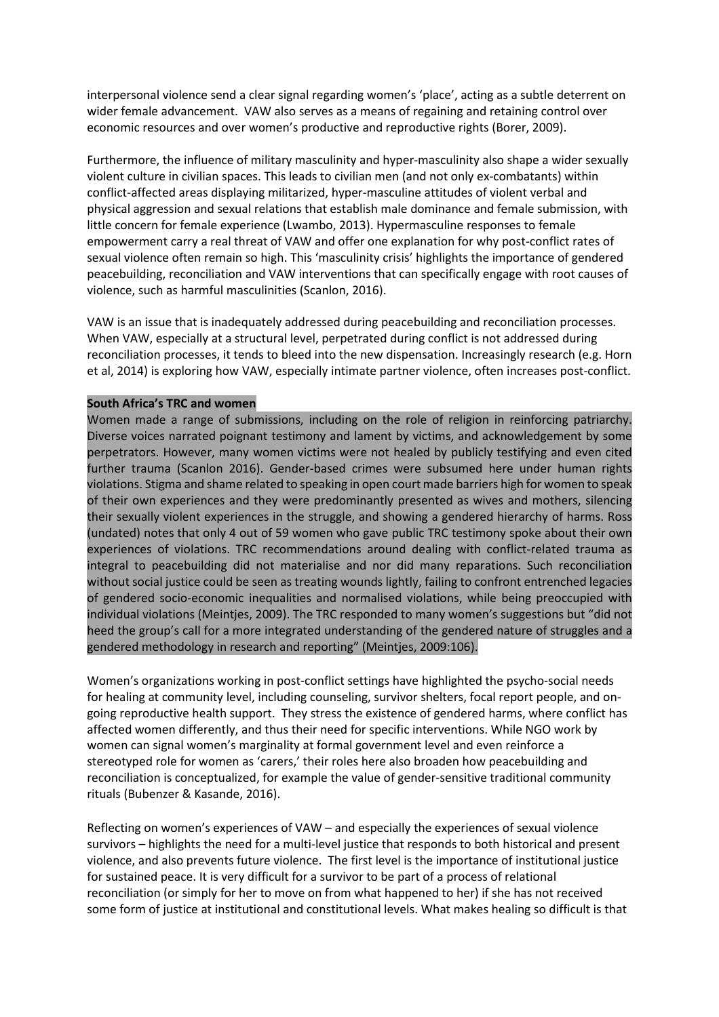interpersonal violence send a clear signal regarding women's 'place', acting as a subtle deterrent on wider female advancement. VAW also serves as a means of regaining and retaining control over economic resources and over women's productive and reproductive rights (Borer, 2009).

Furthermore, the influence of military masculinity and hyper-masculinity also shape a wider sexually violent culture in civilian spaces. This leads to civilian men (and not only ex-combatants) within conflict-affected areas displaying militarized, hyper-masculine attitudes of violent verbal and physical aggression and sexual relations that establish male dominance and female submission, with little concern for female experience (Lwambo, 2013). Hypermasculine responses to female empowerment carry a real threat of VAW and offer one explanation for why post-conflict rates of sexual violence often remain so high. This 'masculinity crisis' highlights the importance of gendered peacebuilding, reconciliation and VAW interventions that can specifically engage with root causes of violence, such as harmful masculinities (Scanlon, 2016).

VAW is an issue that is inadequately addressed during peacebuilding and reconciliation processes. When VAW, especially at a structural level, perpetrated during conflict is not addressed during reconciliation processes, it tends to bleed into the new dispensation. Increasingly research (e.g. Horn et al, 2014) is exploring how VAW, especially intimate partner violence, often increases post-conflict.

#### **South Africa's TRC and women**

Women made a range of submissions, including on the role of religion in reinforcing patriarchy. Diverse voices narrated poignant testimony and lament by victims, and acknowledgement by some perpetrators. However, many women victims were not healed by publicly testifying and even cited further trauma (Scanlon 2016). Gender-based crimes were subsumed here under human rights violations. Stigma and shame related to speaking in open court made barriers high for women to speak of their own experiences and they were predominantly presented as wives and mothers, silencing their sexually violent experiences in the struggle, and showing a gendered hierarchy of harms. Ross (undated) notes that only 4 out of 59 women who gave public TRC testimony spoke about their own experiences of violations. TRC recommendations around dealing with conflict-related trauma as integral to peacebuilding did not materialise and nor did many reparations. Such reconciliation without social justice could be seen as treating wounds lightly, failing to confront entrenched legacies of gendered socio-economic inequalities and normalised violations, while being preoccupied with individual violations (Meintjes, 2009). The TRC responded to many women's suggestions but "did not heed the group's call for a more integrated understanding of the gendered nature of struggles and a gendered methodology in research and reporting" (Meintjes, 2009:106).

Women's organizations working in post-conflict settings have highlighted the psycho-social needs for healing at community level, including counseling, survivor shelters, focal report people, and ongoing reproductive health support. They stress the existence of gendered harms, where conflict has affected women differently, and thus their need for specific interventions. While NGO work by women can signal women's marginality at formal government level and even reinforce a stereotyped role for women as 'carers,' their roles here also broaden how peacebuilding and reconciliation is conceptualized, for example the value of gender-sensitive traditional community rituals (Bubenzer & Kasande, 2016).

Reflecting on women's experiences of VAW – and especially the experiences of sexual violence survivors – highlights the need for a multi-level justice that responds to both historical and present violence, and also prevents future violence. The first level is the importance of institutional justice for sustained peace. It is very difficult for a survivor to be part of a process of relational reconciliation (or simply for her to move on from what happened to her) if she has not received some form of justice at institutional and constitutional levels. What makes healing so difficult is that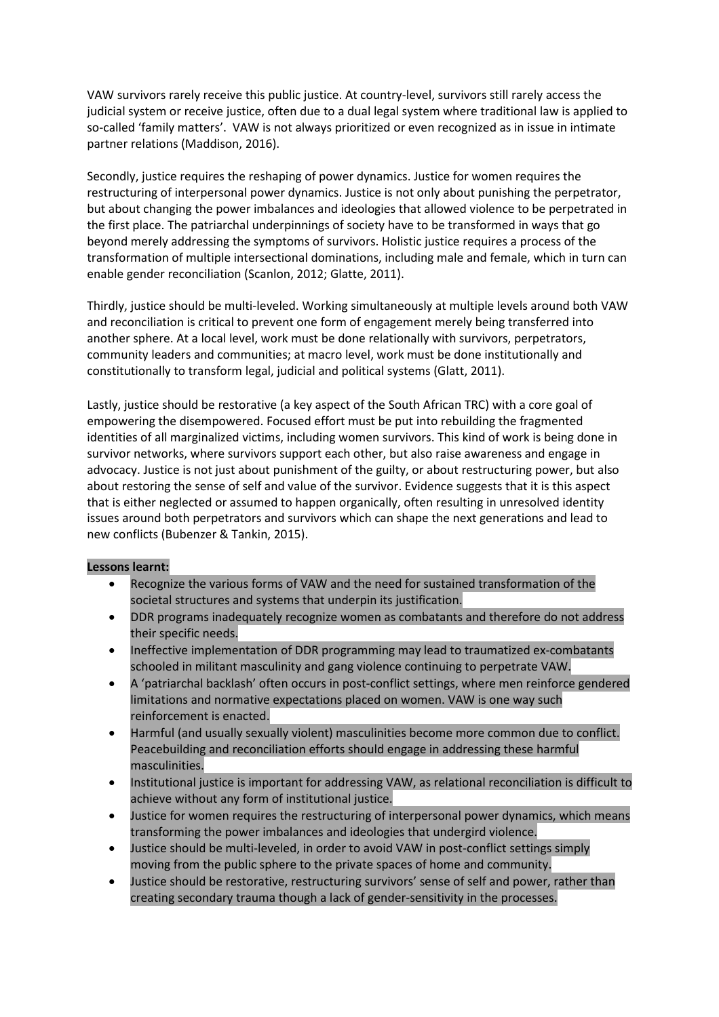VAW survivors rarely receive this public justice. At country-level, survivors still rarely access the judicial system or receive justice, often due to a dual legal system where traditional law is applied to so-called 'family matters'. VAW is not always prioritized or even recognized as in issue in intimate partner relations (Maddison, 2016).

Secondly, justice requires the reshaping of power dynamics. Justice for women requires the restructuring of interpersonal power dynamics. Justice is not only about punishing the perpetrator, but about changing the power imbalances and ideologies that allowed violence to be perpetrated in the first place. The patriarchal underpinnings of society have to be transformed in ways that go beyond merely addressing the symptoms of survivors. Holistic justice requires a process of the transformation of multiple intersectional dominations, including male and female, which in turn can enable gender reconciliation (Scanlon, 2012; Glatte, 2011).

Thirdly, justice should be multi-leveled. Working simultaneously at multiple levels around both VAW and reconciliation is critical to prevent one form of engagement merely being transferred into another sphere. At a local level, work must be done relationally with survivors, perpetrators, community leaders and communities; at macro level, work must be done institutionally and constitutionally to transform legal, judicial and political systems (Glatt, 2011).

Lastly, justice should be restorative (a key aspect of the South African TRC) with a core goal of empowering the disempowered. Focused effort must be put into rebuilding the fragmented identities of all marginalized victims, including women survivors. This kind of work is being done in survivor networks, where survivors support each other, but also raise awareness and engage in advocacy. Justice is not just about punishment of the guilty, or about restructuring power, but also about restoring the sense of self and value of the survivor. Evidence suggests that it is this aspect that is either neglected or assumed to happen organically, often resulting in unresolved identity issues around both perpetrators and survivors which can shape the next generations and lead to new conflicts (Bubenzer & Tankin, 2015).

#### **Lessons learnt:**

- Recognize the various forms of VAW and the need for sustained transformation of the societal structures and systems that underpin its justification.
- DDR programs inadequately recognize women as combatants and therefore do not address their specific needs.
- Ineffective implementation of DDR programming may lead to traumatized ex-combatants schooled in militant masculinity and gang violence continuing to perpetrate VAW.
- A 'patriarchal backlash' often occurs in post-conflict settings, where men reinforce gendered limitations and normative expectations placed on women. VAW is one way such reinforcement is enacted.
- Harmful (and usually sexually violent) masculinities become more common due to conflict. Peacebuilding and reconciliation efforts should engage in addressing these harmful masculinities.
- Institutional justice is important for addressing VAW, as relational reconciliation is difficult to achieve without any form of institutional justice.
- Justice for women requires the restructuring of interpersonal power dynamics, which means transforming the power imbalances and ideologies that undergird violence.
- Justice should be multi-leveled, in order to avoid VAW in post-conflict settings simply moving from the public sphere to the private spaces of home and community.
- Justice should be restorative, restructuring survivors' sense of self and power, rather than creating secondary trauma though a lack of gender-sensitivity in the processes.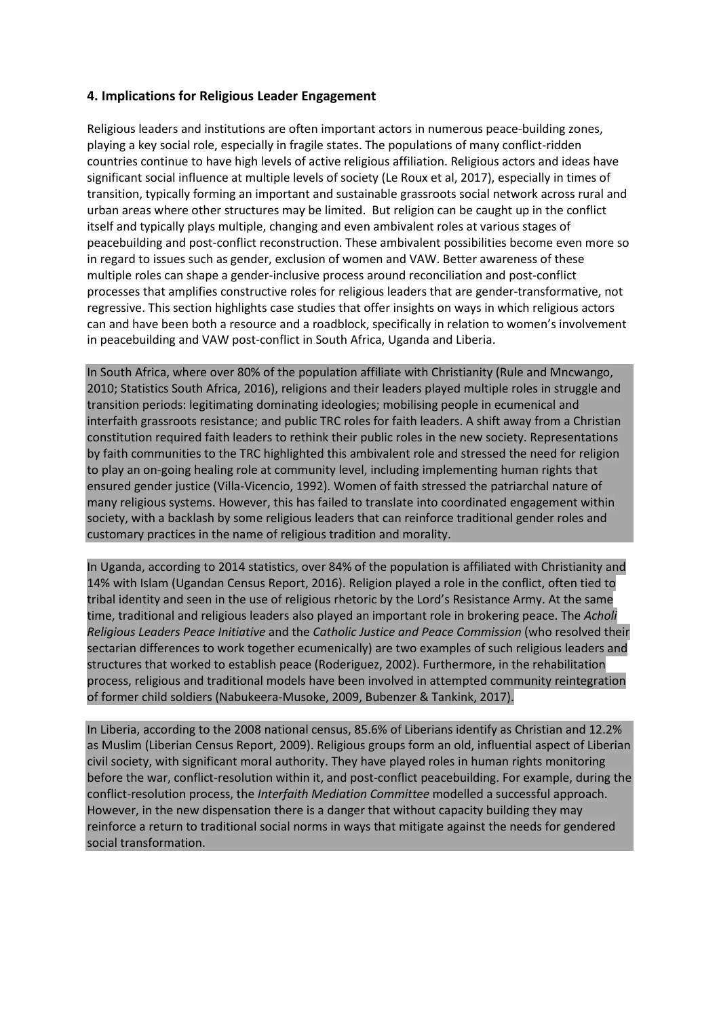## **4. Implications for Religious Leader Engagement**

Religious leaders and institutions are often important actors in numerous peace-building zones, playing a key social role, especially in fragile states. The populations of many conflict-ridden countries continue to have high levels of active religious affiliation. Religious actors and ideas have significant social influence at multiple levels of society (Le Roux et al, 2017), especially in times of transition, typically forming an important and sustainable grassroots social network across rural and urban areas where other structures may be limited. But religion can be caught up in the conflict itself and typically plays multiple, changing and even ambivalent roles at various stages of peacebuilding and post-conflict reconstruction. These ambivalent possibilities become even more so in regard to issues such as gender, exclusion of women and VAW. Better awareness of these multiple roles can shape a gender-inclusive process around reconciliation and post-conflict processes that amplifies constructive roles for religious leaders that are gender-transformative, not regressive. This section highlights case studies that offer insights on ways in which religious actors can and have been both a resource and a roadblock, specifically in relation to women's involvement in peacebuilding and VAW post-conflict in South Africa, Uganda and Liberia.

In South Africa, where over 80% of the population affiliate with Christianity (Rule and Mncwango, 2010; Statistics South Africa, 2016), religions and their leaders played multiple roles in struggle and transition periods: legitimating dominating ideologies; mobilising people in ecumenical and interfaith grassroots resistance; and public TRC roles for faith leaders. A shift away from a Christian constitution required faith leaders to rethink their public roles in the new society. Representations by faith communities to the TRC highlighted this ambivalent role and stressed the need for religion to play an on-going healing role at community level, including implementing human rights that ensured gender justice (Villa-Vicencio, 1992). Women of faith stressed the patriarchal nature of many religious systems. However, this has failed to translate into coordinated engagement within society, with a backlash by some religious leaders that can reinforce traditional gender roles and customary practices in the name of religious tradition and morality.

In Uganda, according to 2014 statistics, over 84% of the population is affiliated with Christianity and 14% with Islam (Ugandan Census Report, 2016). Religion played a role in the conflict, often tied to tribal identity and seen in the use of religious rhetoric by the Lord's Resistance Army. At the same time, traditional and religious leaders also played an important role in brokering peace. The *Acholi Religious Leaders Peace Initiative* and the *Catholic Justice and Peace Commission* (who resolved their sectarian differences to work together ecumenically) are two examples of such religious leaders and structures that worked to establish peace (Roderiguez, 2002). Furthermore, in the rehabilitation process, religious and traditional models have been involved in attempted community reintegration of former child soldiers (Nabukeera-Musoke, 2009, Bubenzer & Tankink, 2017).

In Liberia, according to the 2008 national census, 85.6% of Liberians identify as Christian and 12.2% as Muslim (Liberian Census Report, 2009). Religious groups form an old, influential aspect of Liberian civil society, with significant moral authority. They have played roles in human rights monitoring before the war, conflict-resolution within it, and post-conflict peacebuilding. For example, during the conflict-resolution process, the *Interfaith Mediation Committee* modelled a successful approach. However, in the new dispensation there is a danger that without capacity building they may reinforce a return to traditional social norms in ways that mitigate against the needs for gendered social transformation.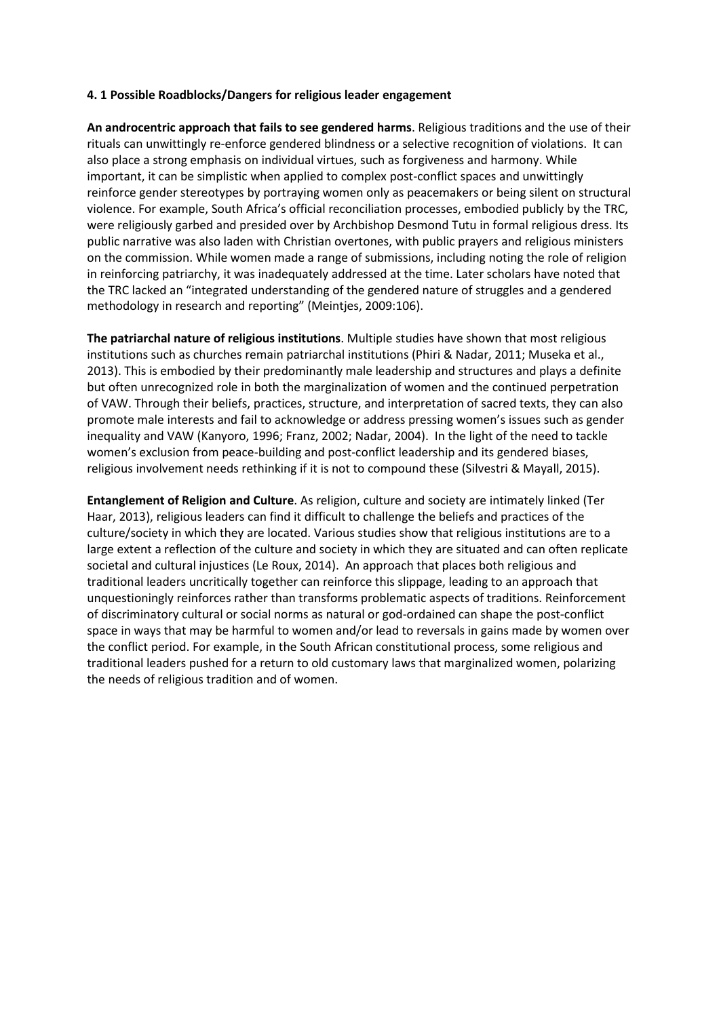#### **4. 1 Possible Roadblocks/Dangers for religious leader engagement**

**An androcentric approach that fails to see gendered harms**. Religious traditions and the use of their rituals can unwittingly re-enforce gendered blindness or a selective recognition of violations.It can also place a strong emphasis on individual virtues, such as forgiveness and harmony. While important, it can be simplistic when applied to complex post-conflict spaces and unwittingly reinforce gender stereotypes by portraying women only as peacemakers or being silent on structural violence. For example, South Africa's official reconciliation processes, embodied publicly by the TRC, were religiously garbed and presided over by Archbishop Desmond Tutu in formal religious dress. Its public narrative was also laden with Christian overtones, with public prayers and religious ministers on the commission. While women made a range of submissions, including noting the role of religion in reinforcing patriarchy, it was inadequately addressed at the time. Later scholars have noted that the TRC lacked an "integrated understanding of the gendered nature of struggles and a gendered methodology in research and reporting" (Meintjes, 2009:106).

**The patriarchal nature of religious institutions**. Multiple studies have shown that most religious institutions such as churches remain patriarchal institutions (Phiri & Nadar, 2011; Museka et al., 2013). This is embodied by their predominantly male leadership and structures and plays a definite but often unrecognized role in both the marginalization of women and the continued perpetration of VAW. Through their beliefs, practices, structure, and interpretation of sacred texts, they can also promote male interests and fail to acknowledge or address pressing women's issues such as gender inequality and VAW (Kanyoro, 1996; Franz, 2002; Nadar, 2004). In the light of the need to tackle women's exclusion from peace-building and post-conflict leadership and its gendered biases, religious involvement needs rethinking if it is not to compound these (Silvestri & Mayall, 2015).

**Entanglement of Religion and Culture**. As religion, culture and society are intimately linked (Ter Haar, 2013), religious leaders can find it difficult to challenge the beliefs and practices of the culture/society in which they are located. Various studies show that religious institutions are to a large extent a reflection of the culture and society in which they are situated and can often replicate societal and cultural injustices (Le Roux, 2014). An approach that places both religious and traditional leaders uncritically together can reinforce this slippage, leading to an approach that unquestioningly reinforces rather than transforms problematic aspects of traditions. Reinforcement of discriminatory cultural or social norms as natural or god-ordained can shape the post-conflict space in ways that may be harmful to women and/or lead to reversals in gains made by women over the conflict period. For example, in the South African constitutional process, some religious and traditional leaders pushed for a return to old customary laws that marginalized women, polarizing the needs of religious tradition and of women.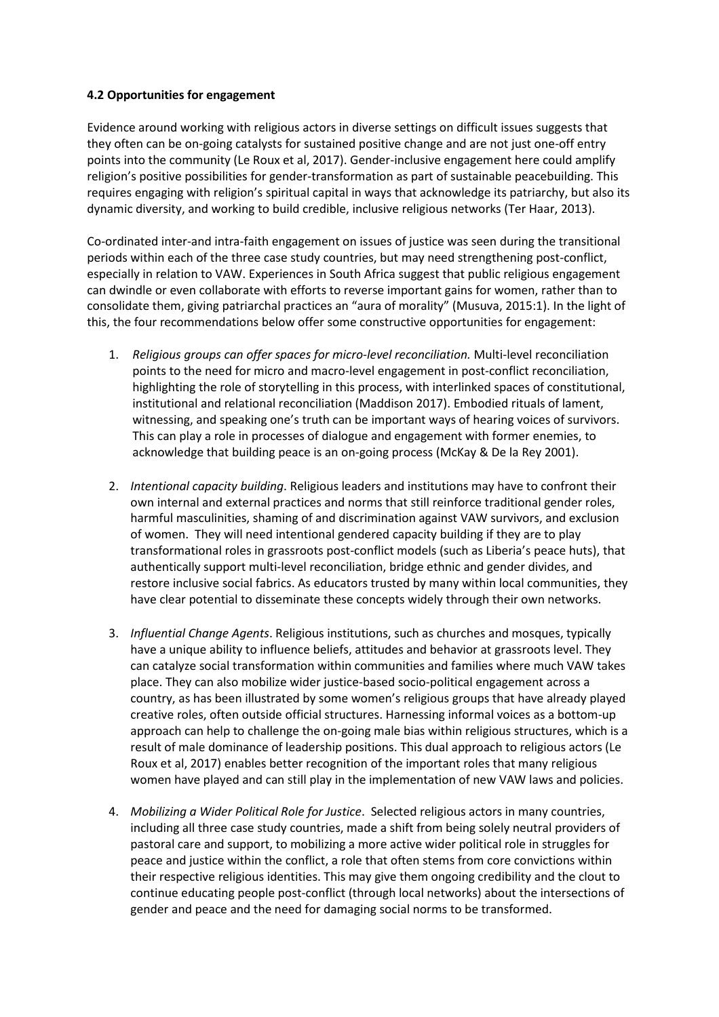#### **4.2 Opportunities for engagement**

Evidence around working with religious actors in diverse settings on difficult issues suggests that they often can be on-going catalysts for sustained positive change and are not just one-off entry points into the community (Le Roux et al, 2017). Gender-inclusive engagement here could amplify religion's positive possibilities for gender-transformation as part of sustainable peacebuilding. This requires engaging with religion's spiritual capital in ways that acknowledge its patriarchy, but also its dynamic diversity, and working to build credible, inclusive religious networks (Ter Haar, 2013).

Co-ordinated inter-and intra-faith engagement on issues of justice was seen during the transitional periods within each of the three case study countries, but may need strengthening post-conflict, especially in relation to VAW. Experiences in South Africa suggest that public religious engagement can dwindle or even collaborate with efforts to reverse important gains for women, rather than to consolidate them, giving patriarchal practices an "aura of morality" (Musuva, 2015:1). In the light of this, the four recommendations below offer some constructive opportunities for engagement:

- 1. *Religious groups can offer spaces for micro-level reconciliation.* Multi-level reconciliation points to the need for micro and macro-level engagement in post-conflict reconciliation, highlighting the role of storytelling in this process, with interlinked spaces of constitutional, institutional and relational reconciliation (Maddison 2017). Embodied rituals of lament, witnessing, and speaking one's truth can be important ways of hearing voices of survivors. This can play a role in processes of dialogue and engagement with former enemies, to acknowledge that building peace is an on-going process (McKay & De la Rey 2001).
- 2. *Intentional capacity building*. Religious leaders and institutions may have to confront their own internal and external practices and norms that still reinforce traditional gender roles, harmful masculinities, shaming of and discrimination against VAW survivors, and exclusion of women. They will need intentional gendered capacity building if they are to play transformational roles in grassroots post-conflict models (such as Liberia's peace huts), that authentically support multi-level reconciliation, bridge ethnic and gender divides, and restore inclusive social fabrics. As educators trusted by many within local communities, they have clear potential to disseminate these concepts widely through their own networks.
- 3. *Influential Change Agents*. Religious institutions, such as churches and mosques, typically have a unique ability to influence beliefs, attitudes and behavior at grassroots level. They can catalyze social transformation within communities and families where much VAW takes place. They can also mobilize wider justice-based socio-political engagement across a country, as has been illustrated by some women's religious groups that have already played creative roles, often outside official structures. Harnessing informal voices as a bottom-up approach can help to challenge the on-going male bias within religious structures, which is a result of male dominance of leadership positions. This dual approach to religious actors (Le Roux et al, 2017) enables better recognition of the important roles that many religious women have played and can still play in the implementation of new VAW laws and policies.
- 4. *Mobilizing a Wider Political Role for Justice*. Selected religious actors in many countries, including all three case study countries, made a shift from being solely neutral providers of pastoral care and support, to mobilizing a more active wider political role in struggles for peace and justice within the conflict, a role that often stems from core convictions within their respective religious identities. This may give them ongoing credibility and the clout to continue educating people post-conflict (through local networks) about the intersections of gender and peace and the need for damaging social norms to be transformed.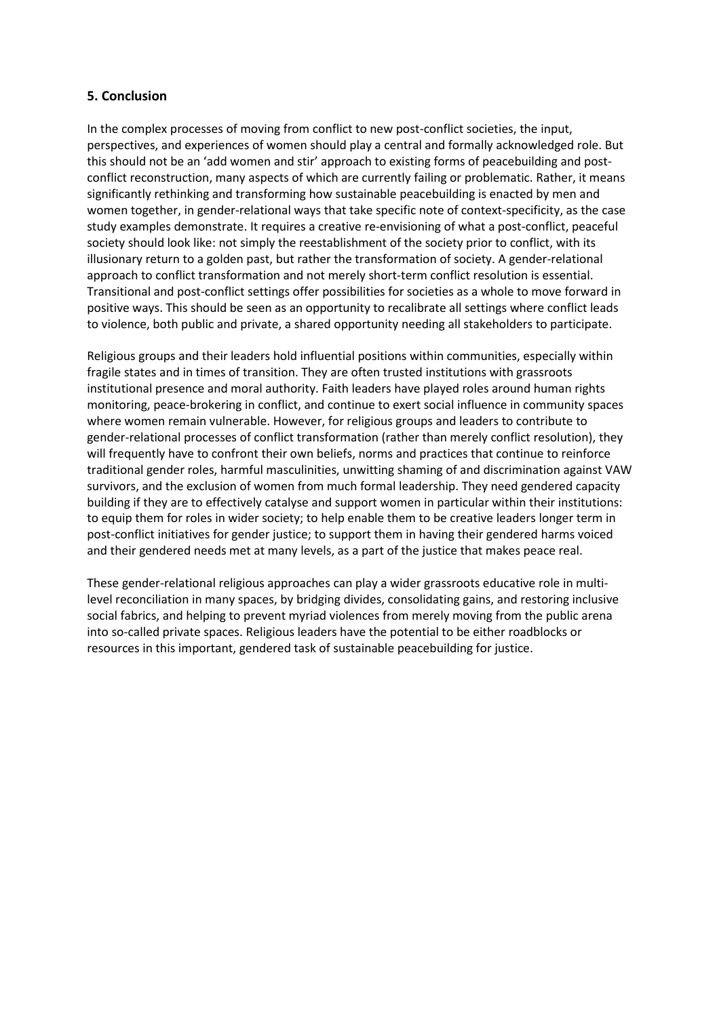## **5. Conclusion**

In the complex processes of moving from conflict to new post-conflict societies, the input, perspectives, and experiences of women should play a central and formally acknowledged role. But this should not be an 'add women and stir' approach to existing forms of peacebuilding and postconflict reconstruction, many aspects of which are currently failing or problematic. Rather, it means significantly rethinking and transforming how sustainable peacebuilding is enacted by men and women together, in gender-relational ways that take specific note of context-specificity, as the case study examples demonstrate. It requires a creative re-envisioning of what a post-conflict, peaceful society should look like: not simply the reestablishment of the society prior to conflict, with its illusionary return to a golden past, but rather the transformation of society. A gender-relational approach to conflict transformation and not merely short-term conflict resolution is essential. Transitional and post-conflict settings offer possibilities for societies as a whole to move forward in positive ways. This should be seen as an opportunity to recalibrate all settings where conflict leads to violence, both public and private, a shared opportunity needing all stakeholders to participate.

Religious groups and their leaders hold influential positions within communities, especially within fragile states and in times of transition. They are often trusted institutions with grassroots institutional presence and moral authority. Faith leaders have played roles around human rights monitoring, peace-brokering in conflict, and continue to exert social influence in community spaces where women remain vulnerable. However, for religious groups and leaders to contribute to gender-relational processes of conflict transformation (rather than merely conflict resolution), they will frequently have to confront their own beliefs, norms and practices that continue to reinforce traditional gender roles, harmful masculinities, unwitting shaming of and discrimination against VAW survivors, and the exclusion of women from much formal leadership. They need gendered capacity building if they are to effectively catalyse and support women in particular within their institutions: to equip them for roles in wider society; to help enable them to be creative leaders longer term in post-conflict initiatives for gender justice; to support them in having their gendered harms voiced and their gendered needs met at many levels, as a part of the justice that makes peace real.

These gender-relational religious approaches can play a wider grassroots educative role in multilevel reconciliation in many spaces, by bridging divides, consolidating gains, and restoring inclusive social fabrics, and helping to prevent myriad violences from merely moving from the public arena into so-called private spaces. Religious leaders have the potential to be either roadblocks or resources in this important, gendered task of sustainable peacebuilding for justice.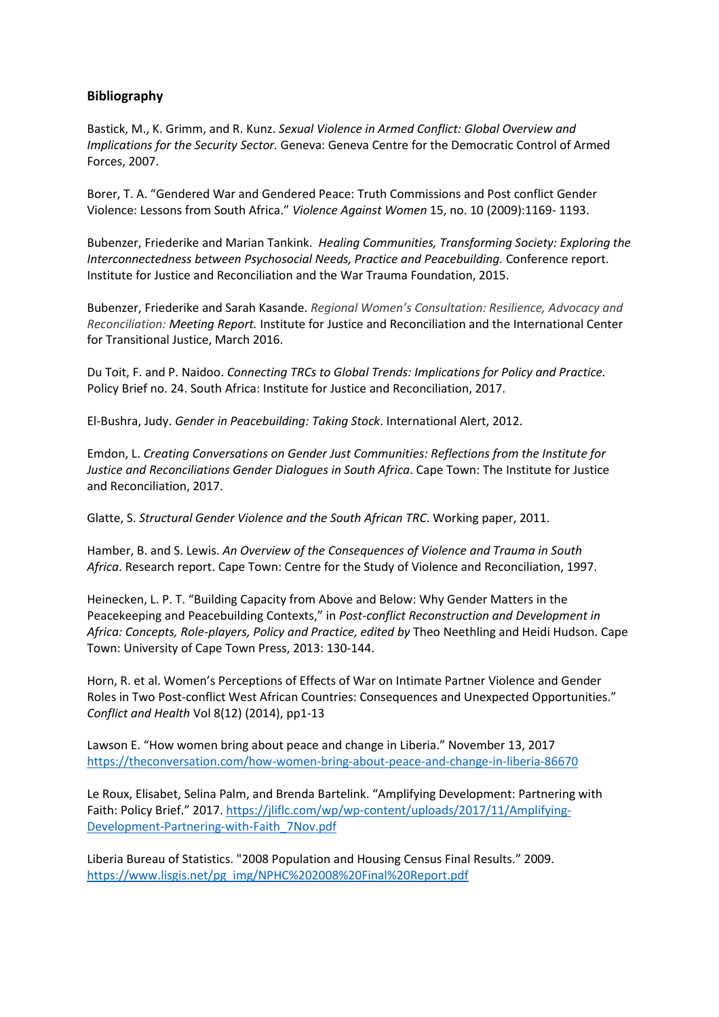## **Bibliography**

Bastick, M., K. Grimm, and R. Kunz. *Sexual Violence in Armed Conflict: Global Overview and Implications for the Security Sector.* Geneva: Geneva Centre for the Democratic Control of Armed Forces, 2007.

Borer, T. A. "Gendered War and Gendered Peace: Truth Commissions and Post conflict Gender Violence: Lessons from South Africa." *Violence Against Women* 15, no. 10 (2009):1169- 1193.

Bubenzer, Friederike and Marian Tankink. *Healing Communities, Transforming Society: Exploring the Interconnectedness between Psychosocial Needs, Practice and Peacebuilding.* Conference report. Institute for Justice and Reconciliation and the War Trauma Foundation, 2015.

Bubenzer, Friederike and Sarah Kasande. *Regional Women's Consultation: Resilience, Advocacy and Reconciliation: Meeting Report.* Institute for Justice and Reconciliation and the International Center for Transitional Justice, March 2016.

Du Toit, F. and P. Naidoo. *Connecting TRCs to Global Trends: Implications for Policy and Practice.*  Policy Brief no. 24. South Africa: Institute for Justice and Reconciliation, 2017.

El-Bushra, Judy. *Gender in Peacebuilding: Taking Stock*. International Alert, 2012.

Emdon, L. *Creating Conversations on Gender Just Communities: Reflections from the Institute for Justice and Reconciliations Gender Dialogues in South Africa*. Cape Town: The Institute for Justice and Reconciliation, 2017.

Glatte, S. *Structural Gender Violence and the South African TRC*. Working paper, 2011.

Hamber, B. and S. Lewis. *An Overview of the Consequences of Violence and Trauma in South Africa*. Research report. Cape Town: Centre for the Study of Violence and Reconciliation, 1997.

Heinecken, L. P. T. "Building Capacity from Above and Below: Why Gender Matters in the Peacekeeping and Peacebuilding Contexts," in *Post-conflict Reconstruction and Development in Africa: Concepts, Role-players, Policy and Practice, edited by* Theo Neethling and Heidi Hudson. Cape Town: University of Cape Town Press, 2013: 130-144.

Horn, R. et al. Women's Perceptions of Effects of War on Intimate Partner Violence and Gender Roles in Two Post-conflict West African Countries: Consequences and Unexpected Opportunities." *Conflict and Health* Vol 8(12) (2014), pp1-13

Lawson E. "How women bring about peace and change in Liberia." November 13, 2017 <https://theconversation.com/how-women-bring-about-peace-and-change-in-liberia-86670>

Le Roux, Elisabet, Selina Palm, and Brenda Bartelink. "Amplifying Development: Partnering with Faith: Policy Brief." 2017. [https://jliflc.com/wp/wp-content/uploads/2017/11/Amplifying-](https://jliflc.com/wp/wp-content/uploads/2017/11/Amplifying-Development-Partnering-with-Faith_7Nov.pdf)[Development-Partnering-with-Faith\\_7Nov.pdf](https://jliflc.com/wp/wp-content/uploads/2017/11/Amplifying-Development-Partnering-with-Faith_7Nov.pdf)

Liberia Bureau of Statistics. "2008 Population and Housing Census Final Results." 2009. [https://www.lisgis.net/pg\\_img/NPHC%202008%20Final%20Report.pdf](https://www.lisgis.net/pg_img/NPHC%25202008%2520Final%2520Report.pdf)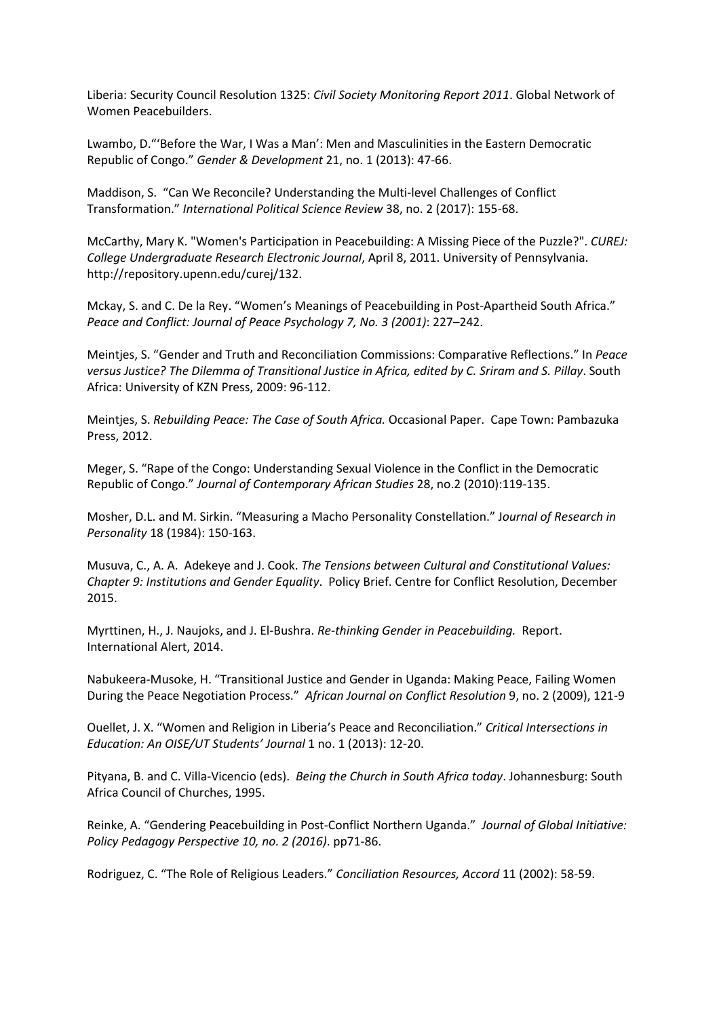Liberia: Security Council Resolution 1325: *Civil Society Monitoring Report 2011*. Global Network of Women Peacebuilders.

Lwambo, D."'Before the War, I Was a Man': Men and Masculinities in the Eastern Democratic Republic of Congo." *Gender & Development* 21, no. 1 (2013): 47-66.

[Maddison,](http://journals.sagepub.com/author/Maddison%252C+Sarah) S. "Can We Reconcile? Understanding the Multi-level Challenges of Conflict Transformation." *International Political Science Review* 38, no. 2 (2017): 155-68.

McCarthy, Mary K. "Women's Participation in Peacebuilding: A Missing Piece of the Puzzle?". *CUREJ: College Undergraduate Research Electronic Journal*, April 8, 2011. University of Pennsylvania. http://repository.upenn.edu/curej/132.

Mckay, S. and C. De la Rey. "Women's Meanings of Peacebuilding in Post-Apartheid South Africa." *Peace and Conflict: Journal of Peace Psychology 7, No. 3 (2001)*: 227–242.

Meintjes, S. "Gender and Truth and Reconciliation Commissions: Comparative Reflections." In *Peace versus Justice? The Dilemma of Transitional Justice in Africa, edited by C. Sriram and S. Pillay*. South Africa: University of KZN Press, 2009: 96-112.

Meintjes, S. *Rebuilding Peace: The Case of South Africa.* Occasional Paper. Cape Town: Pambazuka Press, 2012.

Meger, S. "Rape of the Congo: Understanding Sexual Violence in the Conflict in the Democratic Republic of Congo." *Journal of Contemporary African Studies* 28, no.2 (2010):119-135.

Mosher, D.L. and M. Sirkin. "Measuring a Macho Personality Constellation." J*ournal of Research in Personality* 18 (1984): 150-163.

Musuva, C., A. A. Adekeye and J. Cook. *The Tensions between Cultural and Constitutional Values: Chapter 9: Institutions and Gender Equality*. Policy Brief. Centre for Conflict Resolution, December 2015.

Myrttinen, H., J. Naujoks, and J. El-Bushra. *Re-thinking Gender in Peacebuilding.* Report. International Alert, 2014.

Nabukeera-Musoke, H. "Transitional Justice and Gender in Uganda: Making Peace, Failing Women During the Peace Negotiation Process." *African Journal on Conflict Resolution* 9, no. 2 (2009), 121-9

Ouellet, J. X. "Women and Religion in Liberia's Peace and Reconciliation." *Critical Intersections in Education: An OISE/UT Students' Journal* 1 no. 1 (2013): 12-20.

Pityana, B. and C. Villa-Vicencio (eds). *Being the Church in South Africa today*. Johannesburg: South Africa Council of Churches, 1995.

Reinke, A. "Gendering Peacebuilding in Post-Conflict Northern Uganda." *Journal of Global Initiative: Policy Pedagogy Perspective 10, no. 2 (2016)*. pp71-86.

Rodriguez, C. "The Role of Religious Leaders." *Conciliation Resources, Accord* 11 (2002): 58-59.